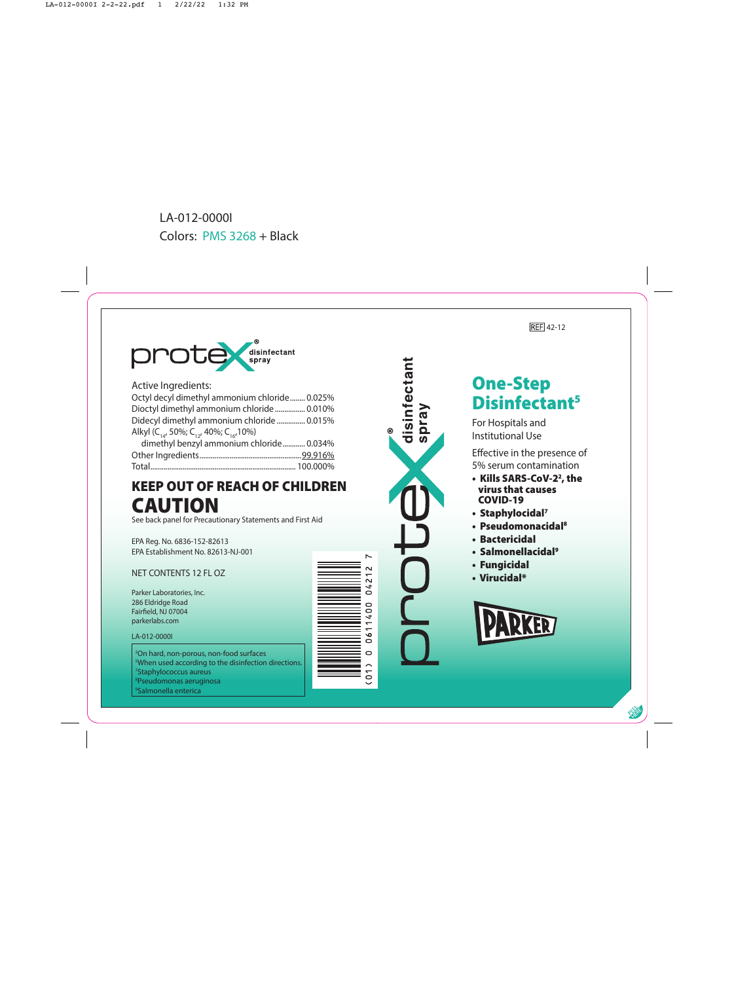



Active Ingredients:

| Octyl decyl dimethyl ammonium chloride 0.025% |
|-----------------------------------------------|
| Dioctyl dimethyl ammonium chloride  0.010%    |
| Didecyl dimethyl ammonium chloride  0.015%    |
|                                               |
| dimethyl benzyl ammonium chloride 0.034%      |
|                                               |
|                                               |
|                                               |

## KEEP OUT OF REACH OF CHILDREN CAUTION

See back panel for Precautionary Statements and First Aid

EPA Reg. No. 6836-152-82613 EPA Establishment No. 82613-NJ-001

### NET CONTENTS 12 FL OZ

Parker Laboratories, Inc. 286 Eldridge Road Fairfield, NJ 07004 parkerlabs.com

#### LA-012-0000I

 On hard, non-porous, non-food surfaces When used according to the disinfection directions. Staphylococcus aureus Pseudomonas aeruginosa Salmonella enterica





## One-Step Disinfectant 5

For Hospitals and Institutional Use

- Kills SARS-CoV-2 2, the virus that causes COVID-19
- Staphylocidal 7
- Pseudomonacidal 8
- Bactericidal
- Salmonellacidal 9
- Fungicidal
- Virucidal\*

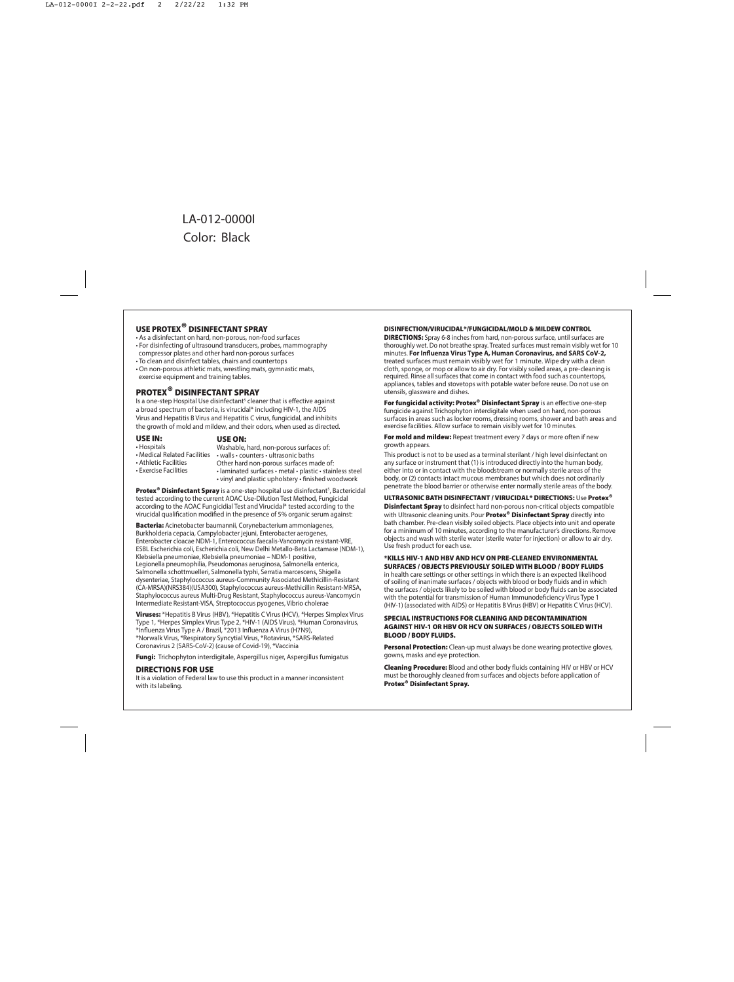### USE PROTEX® DISINFECTANT SPRAY

- As a disinfectant on hard, non-porous, non-food surfaces
- For disinfecting of ultrasound transducers, probes, mammography compressor plates and other hard non-porous surfaces
- To clean and disinfect tables, chairs and countertops
- On non-porous athletic mats, wrestling mats, gymnastic mats, exercise equipment and training tables.

### PROTEX® DISINFECTANT SPRAY

ls a one-step Hospital Use disinfectant<sup>s</sup> cleaner that is effective against a broad spectrum of bacteria, is virucidal\* including HIV-1, the AIDS Virus and Hepatitis B Virus and Hepatitis C virus, fungicidal, and inhibits the growth of mold and mildew, and their odors, when used as directed.

#### USE IN:

#### USE ON:

• Hospitals

#### Washable, hard, non-porous surfaces of:

- 
- Medical Related Facilities walls counters ultrasonic baths
- Athletic Facilities
- Exercise Facilities
- Other hard non-porous surfaces made of: • laminated surfaces • metal • plastic • stainless steel • vinyl and plastic upholstery • finished woodwork

Protex<sup>®</sup> Disinfectant Spray is a one-step hospital use disinfectant<sup>s</sup>, Bactericidal tested according to the current AOAC Use-Dilution Test Method, Fungicidal according to the AOAC Fungicidial Test and Virucidal\* tested according to the virucidal qualification modified in the presence of 5% organic serum against:

Bacteria: Acinetobacter baumannii, Corvnebacterium ammoniagenes, Burkholderia cepacia, Campylobacter jejuni, Enterobacter aerogenes, Enterobacter cloacae NDM-1, Enterococcus faecalis-Vancomycin resistant-VRE, ESBL Escherichia coli, Escherichia coli, New Delhi Metallo-Beta Lactamase (NDM-1), Klebsiella pneumoniae, Klebsiella pneumoniae – NDM-1 positive, Legionella pneumophilia, Pseudomonas aeruginosa, Salmonella enterica, Salmonella schottmuelleri, Salmonella typhi, Serratia marcescens, Shigella dysenteriae, Staphylococcus aureus-Community Associated Methicillin-Resistant (CA-MRSA)(NRS384)(USA300), Staphylococcus aureus-Methicillin Resistant-MRSA, Staphylococcus aureus Multi-Drug Resistant, Staphylococcus aureus-Vancomycin Intermediate Resistant-VISA, Streptococcus pyogenes, Vibrio cholerae

Viruses: \*Hepatitis B Virus (HBV), \*Hepatitis C Virus (HCV), \*Herpes Simplex Virus Type 1, \*Herpes Simplex Virus Type 2, \*HIV-1 (AIDS Virus), \*Human Coronavirus, \*Influenza Virus Type A / Brazil, \*2013 Influenza A Virus (H7N9). \*Norwalk Virus, \*Respiratory Syncytial Virus, \*Rotavirus, \*SARS-Related Coronavirus 2 (SARS-CoV-2) (cause of Covid-19), \*Vaccinia

Fungi: Trichophyton interdigitale, Aspergillus niger, Aspergillus fumigatus

#### DIRECTIONS FOR USE

It is a violation of Federal law to use this product in a manner inconsistent with its labeling.

#### DISINFECTION/VIRUCIDAL\*/FUNGICIDAL/MOLD & MILDEW CONTROL

DIRECTIONS: Spray 6-8 inches from hard, non-porous surface, until surfaces are thoroughly wet. Do not breathe spray. Treated surfaces must remain visibly wet for 10 minutes. For Influenza Virus Type A, Human Coronavirus, and SARS CoV-2. treated surfaces must remain visibly wet for 1 minute. Wipe dry with a clean cloth, sponge, or mop or allow to air dry. For visibly soiled areas, a pre-cleaning is required. Rinse all surfaces that come in contact with food such as countertops, appliances, tables and stovetops with potable water before reuse. Do not use on utensils, glassware and dishes.

For fungicidal activity: Protex® Disinfectant Spray is an effective one-step fungicide against Trichophyton interdigitale when used on hard, non-porous surfaces in areas such as locker rooms, dressing rooms, shower and bath areas and exercise facilities. Allow surface to remain visibly wet for 10 minutes.

For mold and mildew: Repeat treatment every 7 days or more often if new growth appears.

This product is not to be used as a terminal sterilant / high level disinfectant on any surface or instrument that (1) is introduced directly into the human body, either into or in contact with the bloodstream or normally sterile areas of the body, or (2) contacts intact mucous membranes but which does not ordinarily penetrate the blood barrier or otherwise enter normally sterile areas of the body.

#### ULTRASONIC BATH DISINFECTANT / VIRUCIDAL\* DIRECTIONS: Use Protex®

**Disinfectant Spray** to disinfect hard non-porous non-critical objects compatible with Ultrasonic cleaning units. Pour **Protex<sup>®</sup> Disinfectant Spray** directly into bath chamber. Pre-clean visibly soiled objects. Place objects into unit and operate for a minimum of 10 minutes, according to the manufacturer's directions. Remove objects and wash with sterile water (sterile water for injection) or allow to air dry. Use fresh product for each use.

#### \*KILLS HIV-1 AND HBV AND HCV ON PRE-CLEANED ENVIRONMENTAL SURFACES / OBJECTS PREVIOUSLY SOILED WITH BLOOD / BODY FLUIDS

in health care settings or other settings in which there is an expected likelihood of soiling of inanimate surfaces / objects with blood or body fluids and in which the surfaces / objects likely to be soiled with blood or body fluids can be associated with the potential for transmission of Human Immunodeficiency Virus Type 1 (HIV-1) (associated with AIDS) or Hepatitis B Virus (HBV) or Hepatitis C Virus (HCV).

#### SPECIAL INSTRUCTIONS FOR CLEANING AND DECONTAMINATION AGAINST HIV-1 OR HBV OR HCV ON SURFACES / OBJECTS SOILED WITH BLOOD / BODY FLUIDS.

**Personal Protection:** Clean-up must always be done wearing protective gloves, gowns, masks and eye protection.

Cleaning Procedure: Blood and other body fluids containing HIV or HBV or HCV must be thoroughly cleaned from surfaces and objects before application of Protex® Disinfectant Spray.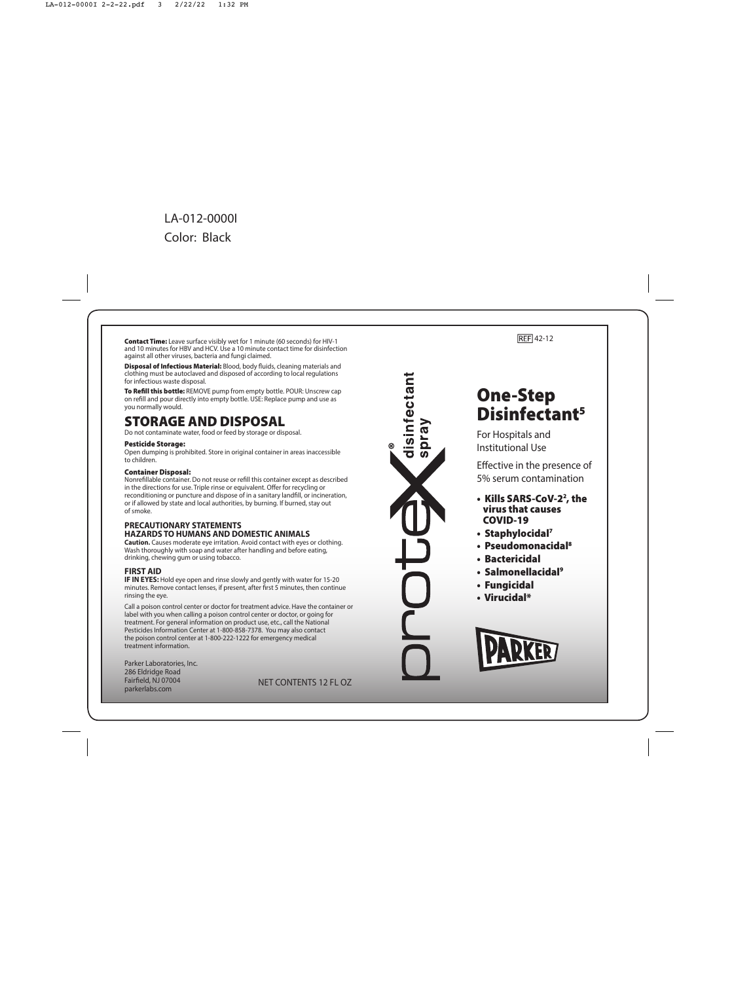Contact Time: Leave surface visibly wet for 1 minute (60 seconds) for HIV-1 and 10 minutes for HBV and HCV. Use a 10 minute contact time for disinfection against all other viruses, bacteria and fungi claimed.

Disposal of Infectious Material: Blood, body fluids, cleaning materials and clothing must be autoclaved and disposed of according to local regulations for infectious waste disposal.

To Refill this bottle: REMOVE pump from empty bottle. POUR: Unscrew cap on rell and pour directly into empty bottle. USE: Replace pump and use as you normally would.

## STORAGE AND DISPOSAL

Do not contaminate water, food or feed by storage or disposal.

#### Pesticide Storage:

Open dumping is prohibited. Store in original container in areas inaccessible to children.

#### Container Disposal:

Nonrefillable container. Do not reuse or refill this container except as described in the directions for use. Triple rinse or equivalent. Offer for recycling or reconditioning or puncture and dispose of in a sanitary landfill, or incineration, or if allowed by state and local authorities, by burning. If burned, stay out of smoke.

#### **PRECAUTIONARY STATEMENTS HAZARDS TO HUMANS AND DOMESTIC ANIMALS**

**Caution.** Causes moderate eye irritation. Avoid contact with eyes or clothing. Wash thoroughly with soap and water after handling and before eating. drinking, chewing gum or using tobacco.

### **FIRST AID**

**IF IN EYES:** Hold eye open and rinse slowly and gently with water for 15-20 minutes. Remove contact lenses, if present, after first  $5$  minutes, then continue rinsing the eye.

Call a poison control center or doctor for treatment advice. Have the container or label with you when calling a poison control center or doctor, or going for treatment. For general information on product use, etc., call the National Pesticides Information Center at 1-800-858-7378. You may also contact the poison control center at 1-800-222-1222 for emergency medical treatment information .

Parker Laboratories, Inc. 286 Eldridge Road Fairfield, NJ 07004 parkerlabs.com

NET CONTENTS 12 FL OZ



### REF 42-12

## One-Step Disinfectant 5

For Hospitals and Institutional Use

- Kills SARS-CoV-2 2, the virus that causes COVID-19
- Staphylocidal 7
- Pseudomonacidal 8
- Bactericidal
- Salmonellacidal 9
- Fungicidal
- Virucidal\*

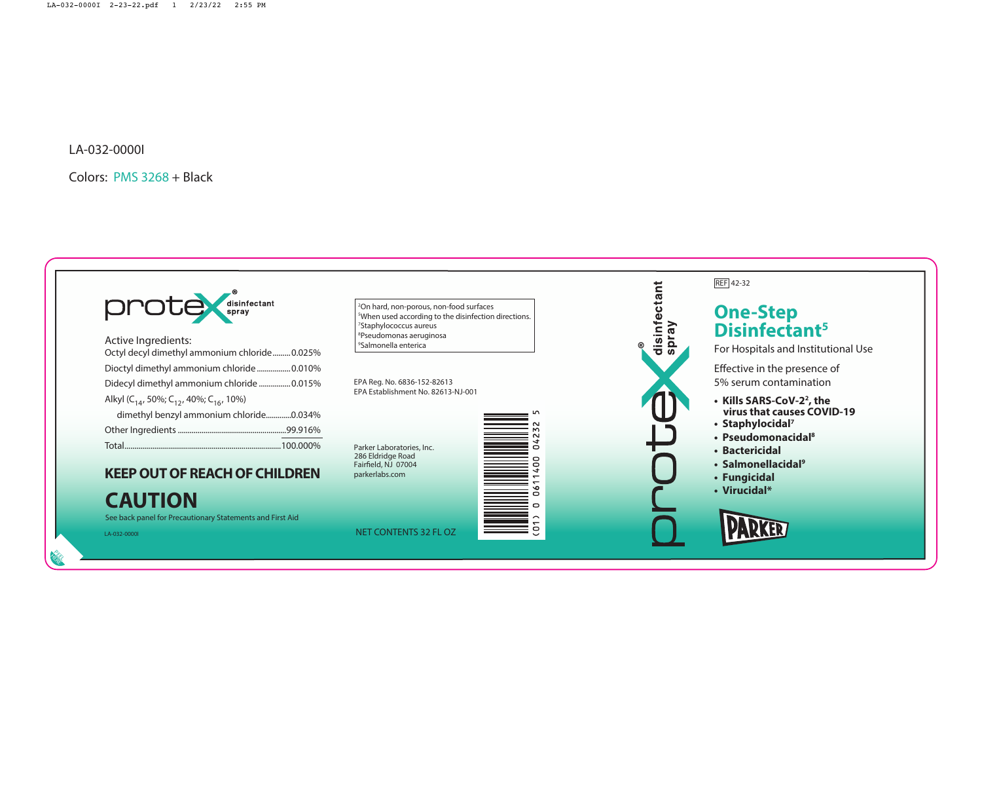

A cti ve I n g redients: O c tyl de cyl dimet hyl ammonium chloride........ .0.025 % Dio c tyl dimet hyl ammonium chloride................ .0.010 % Dide cyl dimet hyl ammonium chloride ............... .0.015 % Alkyl (C<sub>14</sub>, 50%; C<sub>12</sub>, 40%; C<sub>16</sub>, 10%) dimethyl benzyl ammonium chloride..............0.034% Other I n g redients...................................................... .99.916 % Total.............................................................................. .100.000 %

# **KEEP OUT OF REACH OF CHILDREN**

## **CAUTION**

See back panel for Precautionary Statements and First Aid

LA-032-0000I NET CONTENTS 32 FL OZ

PEEL HERE

 On hard, non-porous, non-food surfaces When used according to the disinfection directions. Staphylococcus aureus Pseudomonas aeruginosa Salmonella enterica

EPA Reg. No. 6836-152-82613 EPA Establishment No. 82613-NJ-001

Parker Laboratories, Inc. 286 Eldridge Road Fairfield, NJ 07004 parkerlabs.com





### REF 42-32

## **On e-Step Disinfectant 5**

For Hospitals and Institutional Use

- **Kills SARS-CoV-2 2 , the virus that causes COVID-19**
- **Staphylocidal 7**
- **Pseudomonacidal 8**
- **Bactericidal**
- **Salmonellacidal 9**
- **Fungicidal**
- **Virucidal\***

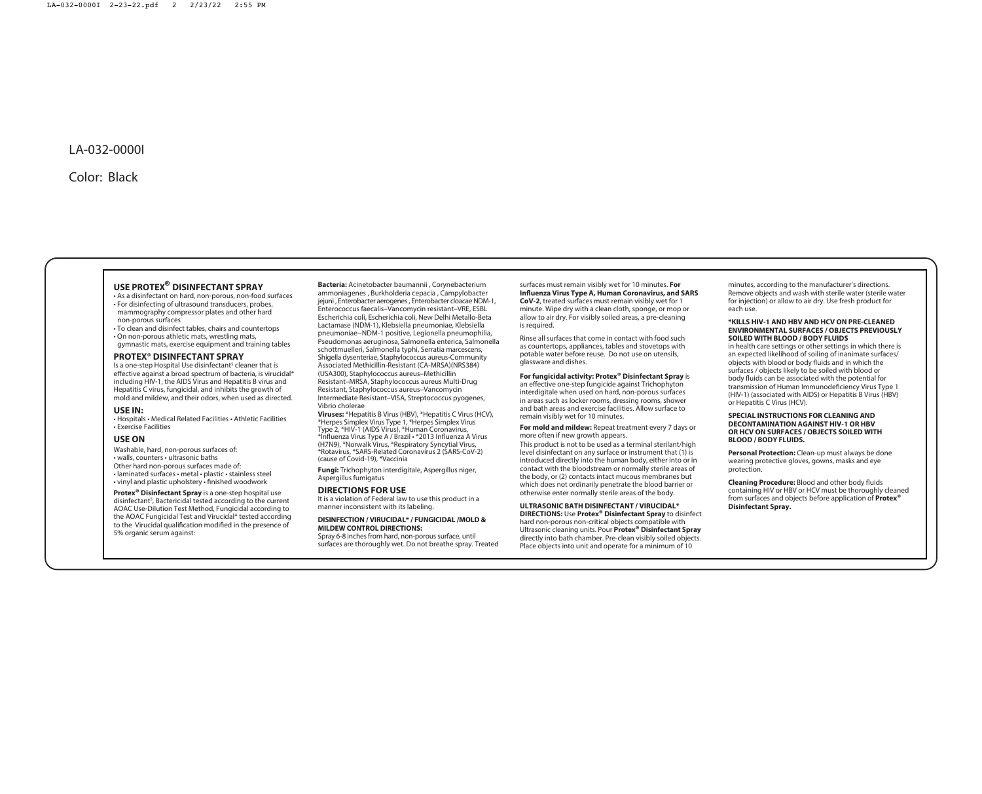### **USE PROTEX® DISINFECTANT SPRAY**

• As a disinfectant on hard, non-porous, non-food surfaces • For disinfecting of ultrasound transducers, probes, mammography compressor plates and other hard non-porous surfaces

• To clean and disinfect tables, chairs and countertops • On non-porous athletic mats, wrestling mats,

gymnastic mats, exercise equipment and training tables

### **PROTEX® DISINFECTANT SPRAY**

Is a one-step Hospital Use disinfectant<sup>5</sup> cleaner that is effective against a broad spectrum of bacteria, is virucidal\* including HIV-1, the AIDS Virus and Hepatitis B virus and Hepatitis C virus, fungicidal, and inhibits the growth of mold and mildew, and their odors, when used as directed.

#### **USE IN:**

• Hospitals • Medical Related Facilities • Athletic Facilities • Exercise Facilities

#### **USE ON**

Washable, hard, non-porous surfaces of:

- walls, counters ultrasonic baths
- Other hard non-porous surfaces made of:
- laminated surfaces metal plastic stainless steel
- vinyl and plastic upholstery finished woodwork

**Protex® Disinfectant Spray** is a one-step hospital use disinfectant<sup>5</sup>, Bactericidal tested according to the current AOAC Use-Dilution Test Method, Fungicidal according to the AOAC Fungicidal Test and Virucidal\* tested according to the Virucidal qualification modified in the presence of 5% organic serum against:

**Bacteria:** Acinetobacter baumannii , Corynebacterium ammoniagenes , Burkholderia cepacia , Campylobacter jejuni , Enterobacter aerogenes , Enterobacter cloacae NDM-1, Enterococcus faecalis–Vancomycin resistant–VRE, ESBL Escherichia coli, Escherichia coli, New Delhi Metallo-Beta Lactamase (NDM-1), Klebsiella pneumoniae, Klebsiella pneumoniae−NDM-1 positive, Legionella pneumophilia, Pseudomonas aeruginosa, Salmonella enterica, Salmonella schottmuelleri, Salmonella typhi, Serratia marcescens, Shigella dysenteriae, Staphylococcus aureus-Community Associated Methicillin-Resistant (CA-MRSA)(NRS384) (USA300), Staphylococcus aureus–Methicillin Resistant–MRSA, Staphylococcus aureus Multi-Drug Resistant, Staphylococcus aureus–Vancomycin Intermediate Resistant–VISA, Streptococcus pyogenes, Vibrio cholerae

**Viruses:** \*Hepatitis B Virus (HBV), \*Hepatitis C Virus (HCV), \*Herpes Simplex Virus Type 1, \*Herpes Simplex Virus Type 2, \*HIV-1 (AIDS Virus), \*Human Coronavirus, \*Inuenza Virus Type A / Brazil • \*2013 Inuenza A Virus (H7N9), \*Norwalk Virus, \*Respiratory Syncytial Virus, \*Rotavirus, \*SARS-Related Coronavirus 2 (SARS-CoV-2) (cause of Covid-19), \*Vaccinia

**Fungi:** Trichophyton interdigitale, Aspergillus niger, Aspergillus fumigatus

#### **DIRECTIONS FOR USE**

It is a violation of Federal law to use this product in a manner inconsistent with its labeling.

#### **DISINFECTION / VIRUCIDAL\* / FUNGICIDAL /MOLD & MILDEW CONTROL DIRECTIONS:**

Spray 6-8 inches from hard, non-porous surface, until surfaces are thoroughly wet. Do not breathe spray. Treated

#### surfaces must remain visibly wet for 10 minutes. **For Influenza Virus Type A, Human Coronavirus, and SARS**

**CoV-2**, treated surfaces must remain visibly wet for 1 minute. Wipe dry with a clean cloth, sponge, or mop or allow to air dry. For visibly soiled areas, a pre-cleaning is required.

Rinse all surfaces that come in contact with food such as countertops, appliances, tables and stovetops with potable water before reuse. Do not use on utensils, glassware and dishes.

#### **For fungicidal activity: Protex® Disinfectant Spray** is

an effective one-step fungicide against Trichophyton interdigitale when used on hard, non-porous surfaces in areas such as locker rooms, dressing rooms, shower and bath areas and exercise facilities. Allow surface to remain visibly wet for 10 minutes.

**For mold and mildew:** Repeat treatment every 7 days or more often if new growth appears.

This product is not to be used as a terminal sterilant/high level disinfectant on any surface or instrument that (1) is introduced directly into the human body, either into or in contact with the bloodstream or normally sterile areas of the body, or (2) contacts intact mucous membranes but which does not ordinarily penetrate the blood barrier or otherwise enter normally sterile areas of the body.

#### **ULTRASONIC BATH DISINFECTANT / VIRUCIDAL\* DIRECTIONS:** Use **Protex® Disinfectant Spray** to disinfect

hard non-porous non-critical objects compatible with Ultrasonic cleaning units. Pour **Protex® Disinfectant Spray** directly into bath chamber. Pre-clean visibly soiled objects. Place objects into unit and operate for a minimum of 10

minutes, according to the manufacturer's directions. Remove objects and wash with sterile water (sterile water for injection) or allow to air dry. Use fresh product for each use.

#### **\*KILLS HIV-1 AND HBV AND HCV ON PRE-CLEANED ENVIRONMENTAL SURFACES / OBJECTS PREVIOUSLY SOILED WITH BLOOD / BODY FLUIDS**

in health care settings or other settings in which there is an expected likelihood of soiling of inanimate surfaces/ objects with blood or body fluids and in which the surfaces / objects likely to be soiled with blood or body fluids can be associated with the potential for transmission of Human Immunodeficiency Virus Type 1 (HIV-1) (associated with AIDS) or Hepatitis B Virus (HBV) or Hepatitis C Virus (HCV).

#### **SPECIAL INSTRUCTIONS FOR CLEANING AND DECONTAMINATION AGAINST HIV-1 OR HBV OR HCV ON SURFACES / OBJECTS SOILED WITH BLOOD / BODY FLUIDS.**

**Personal Protection:** Clean-up must always be done wearing protective gloves, gowns, masks and eye protection.

**Cleaning Procedure:** Blood and other body fluids containing HIV or HBV or HCV must be thoroughly cleaned from surfaces and objects before application of **Protex® Disinfectant Spray.**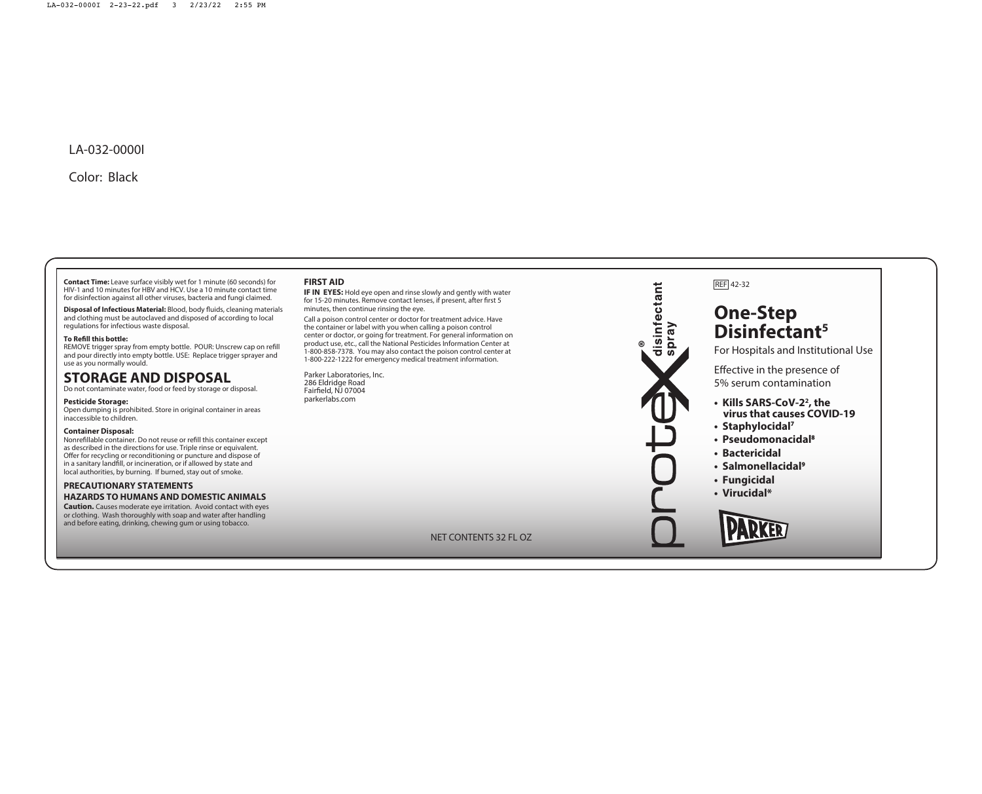**Contact Time:** Leave surface visibly wet for 1 minute (60 seconds) for HIV-1 and 10 minutes for HBV and HCV. Use a 10 minute contact time for disinfection against all other viruses, bacteria and fungi claimed.

**Disposal of Infectious Material:** Blood, body fluids, cleaning materials and clothing must be autoclaved and disposed of according to local regulations for infectious waste disposal.

#### **To Refill this bottle:**

REMOVE trigger spray from empty bottle. POUR: Unscrew cap on refill and pour directly into empty bottle. USE: Replace trigger sprayer and use as you normally would.

## **STORAGE AND DISPOSAL**

Do not contaminate water, food or feed by storage or disposal.

#### **Pesticide Storage:**

Open dumping is prohibited. Store in original container in areas inaccessible to children.

#### **Container Disposal:**

Nonrefillable container. Do not reuse or refill this container except as described in the directions for use. Triple rinse or equivalent. Offer for recycling or reconditioning or puncture and dispose of in a sanitary landfill, or incineration, or if allowed by state and local authorities, by burning. If burned, stay out of smoke.

### **PRECAUTIONARY STATEMENTS HAZARDS TO HUMANS AND DOMESTIC ANIMALS**

**Caution.** Causes moderate eye irritation. Avoid contact with eyes or clothing. Wash thoroughly with soap and water after handling and before eating, drinking, chewing gum or using tobacco.

### **FIRST AID**

**IF IN EYES:** Hold eye open and rinse slowly and gently with water for 15-20 minutes. Remove contact lenses, if present, after first 5 minutes, then continue rinsing the eye.

Call a poison control center or doctor for treatment advice. Have the container or label with you when calling a poison control center or doctor, or going for treatment. For general information on product use, etc., call the National Pesticides Information Center at 1-800-858-7378. You may also contact the poison control center at 1-800-222-1222 for emergency medical treatment information.

Parker Laboratories, Inc. 286 Eldridge Road Faireld, NJ 07004 parkerlabs.com

#### NE T CONTENTS 32 FL OZ



# **One-Step Disinfectant 5**

For Hospitals and Institutional Use

- **Kills SARS-CoV-2 2 , the virus that causes COVID-19**
- **Staphylocidal** 7
- **Pseudomonacidal** 8
- **Bactericidal**
- **Salmonellacidal** 9
- **Fungicidal**
- **Virucidal\***